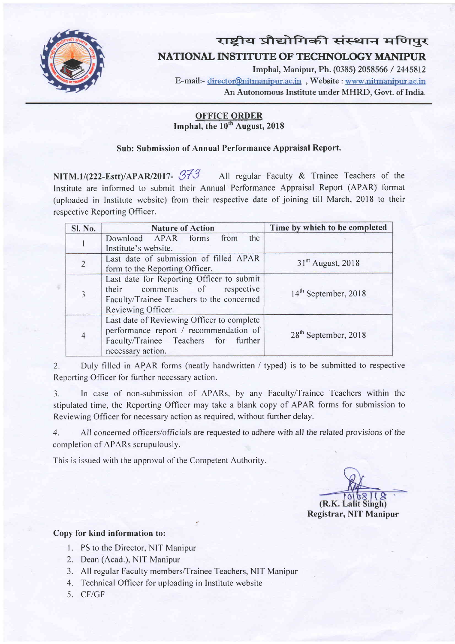

# राष्ट्रीय प्रौद्योगिकी संस्थान मणिपुर NATIONAL INSTITUTE OF TECHNOLOGY MANIPUR

Imphal, Manipur, Ph. (0385) 2058566 / 2445812 E-mail:- director@nitmanipur.ac.in, Website : www.nitmanipur.ac.in An Autonomous Institute under MHRD, Govt. of India.

# **OFFICE ORDER** Imphal, the 10<sup>th</sup> August, 2018

# Sub: Submission of Annual Performance Appraisal Report.

NITM. 1/(222-Estt)/APAR/2017-  $373$  All regular Faculty & Trainee Teachers of the Institute are informed to submit their Annual Performance Appraisal Report (APAR) format (uploaded in Institute website) from their respective date of joining till March,20l8 to their respective Reporting Officer.

| Sl. No.        | <b>Nature of Action</b>                                                                                                                           | Time by which to be completed    |
|----------------|---------------------------------------------------------------------------------------------------------------------------------------------------|----------------------------------|
|                | Download APAR forms from<br>the<br>Institute's website.                                                                                           |                                  |
| $\overline{2}$ | Last date of submission of filled APAR<br>form to the Reporting Officer.                                                                          | 31 <sup>st</sup> August, 2018    |
| $\overline{3}$ | Last date for Reporting Officer to submit<br>their comments of<br>respective<br>Faculty/Trainee Teachers to the concerned<br>Reviewing Officer.   | 14 <sup>th</sup> September, 2018 |
| $\overline{4}$ | Last date of Reviewing Officer to complete<br>performance report / recommendation of<br>Faculty/Trainee Teachers for further<br>necessary action. | 28 <sup>th</sup> September, 2018 |

2. Duly filled in APAR forms (neatly handwritten / typed) is to be submitted to respective Reporting Officer for further necessary action.

3. In case of non-submission of APARs, by any Faculty/Trainee Teachers within the stipulated time, the Reporting Officer may take a blank copy of APAR forms for submission to Reviewing Officer for necessary action as required, without further delay.

4. All concerned officers/officials are requested to adhere with all the related provisions of the completion of APARs scrupulously.

This is issued with the approval of the Competent Authority.

 $(R.K.1)$ Registrar, NIT Manipur

# Copy for kind information to:

- 1. PS to the Director, NIT Manipur
- 2. Dean (Acad.), NIT Manipur
- 3. All regular Faculty members/Trainee Teachers, NIT Manipur
- 4. Technical Officer for uploading in lnstitute website
- 5. CF/GF